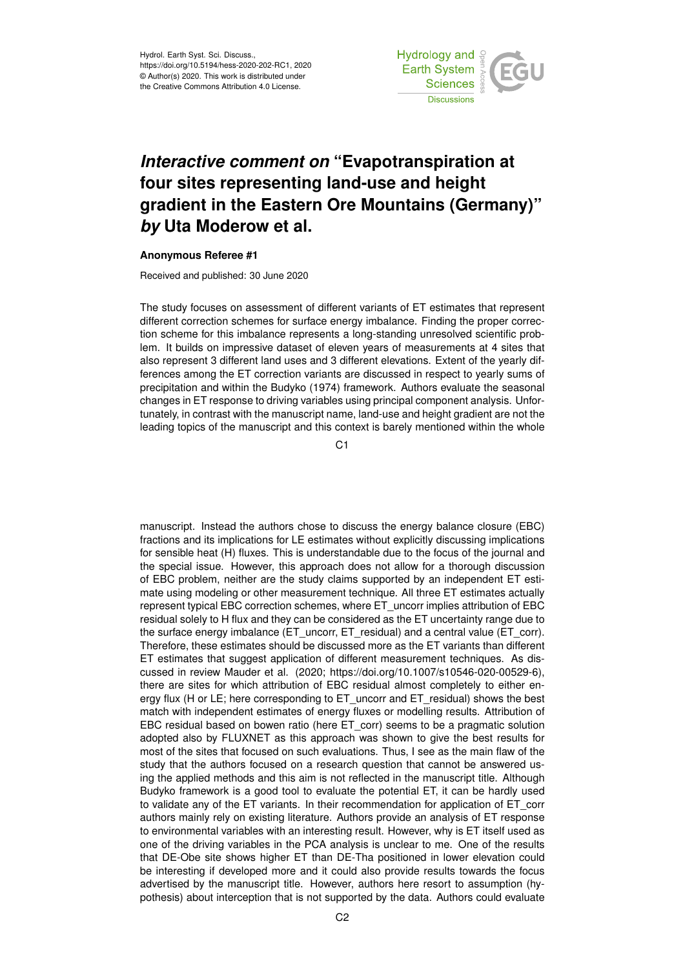Hydrol. Earth Syst. Sci. Discuss., https://doi.org/10.5194/hess-2020-202-RC1, 2020 © Author(s) 2020. This work is distributed under the Creative Commons Attribution 4.0 License.



## *Interactive comment on* **"Evapotranspiration at four sites representing land-use and height gradient in the Eastern Ore Mountains (Germany)"** *by* **Uta Moderow et al.**

## **Anonymous Referee #1**

Received and published: 30 June 2020

The study focuses on assessment of different variants of ET estimates that represent different correction schemes for surface energy imbalance. Finding the proper correction scheme for this imbalance represents a long-standing unresolved scientific problem. It builds on impressive dataset of eleven years of measurements at 4 sites that also represent 3 different land uses and 3 different elevations. Extent of the yearly differences among the ET correction variants are discussed in respect to yearly sums of precipitation and within the Budyko (1974) framework. Authors evaluate the seasonal changes in ET response to driving variables using principal component analysis. Unfortunately, in contrast with the manuscript name, land-use and height gradient are not the leading topics of the manuscript and this context is barely mentioned within the whole

C<sub>1</sub>

manuscript. Instead the authors chose to discuss the energy balance closure (EBC) fractions and its implications for LE estimates without explicitly discussing implications for sensible heat (H) fluxes. This is understandable due to the focus of the journal and the special issue. However, this approach does not allow for a thorough discussion of EBC problem, neither are the study claims supported by an independent ET estimate using modeling or other measurement technique. All three ET estimates actually represent typical EBC correction schemes, where ET\_uncorr implies attribution of EBC residual solely to H flux and they can be considered as the ET uncertainty range due to the surface energy imbalance (ET\_uncorr, ET\_residual) and a central value (ET\_corr). Therefore, these estimates should be discussed more as the ET variants than different ET estimates that suggest application of different measurement techniques. As discussed in review Mauder et al. (2020; https://doi.org/10.1007/s10546-020-00529-6), there are sites for which attribution of EBC residual almost completely to either energy flux (H or LE; here corresponding to ET\_uncorr and ET\_residual) shows the best match with independent estimates of energy fluxes or modelling results. Attribution of EBC residual based on bowen ratio (here ET\_corr) seems to be a pragmatic solution adopted also by FLUXNET as this approach was shown to give the best results for most of the sites that focused on such evaluations. Thus, I see as the main flaw of the study that the authors focused on a research question that cannot be answered using the applied methods and this aim is not reflected in the manuscript title. Although Budyko framework is a good tool to evaluate the potential ET, it can be hardly used to validate any of the ET variants. In their recommendation for application of ET\_corr authors mainly rely on existing literature. Authors provide an analysis of ET response to environmental variables with an interesting result. However, why is ET itself used as one of the driving variables in the PCA analysis is unclear to me. One of the results that DE-Obe site shows higher ET than DE-Tha positioned in lower elevation could be interesting if developed more and it could also provide results towards the focus advertised by the manuscript title. However, authors here resort to assumption (hypothesis) about interception that is not supported by the data. Authors could evaluate